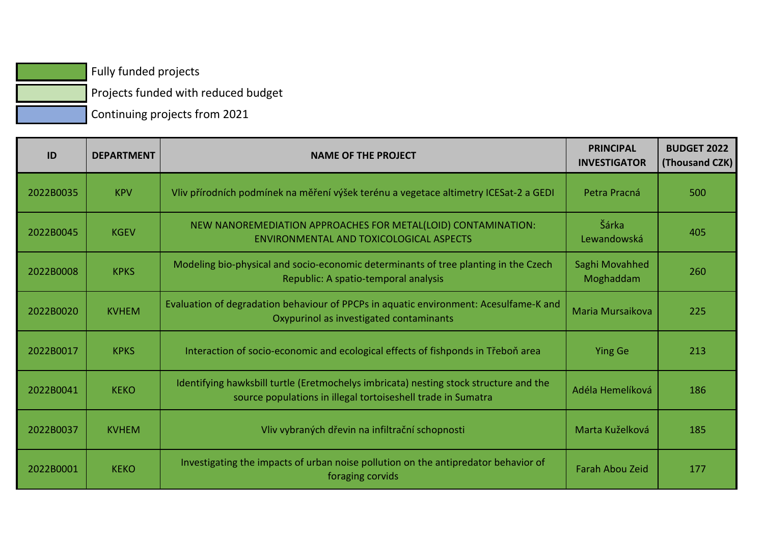Fully funded projects

 $\vert$  Projects funded with reduced budget

Continuing projects from 2021

| ID        | <b>DEPARTMENT</b> | <b>NAME OF THE PROJECT</b>                                                                                                                            | <b>PRINCIPAL</b><br><b>INVESTIGATOR</b> | <b>BUDGET 2022</b><br>(Thousand CZK) |
|-----------|-------------------|-------------------------------------------------------------------------------------------------------------------------------------------------------|-----------------------------------------|--------------------------------------|
| 2022B0035 | <b>KPV</b>        | Vliv přírodních podmínek na měření výšek terénu a vegetace altimetry ICESat-2 a GEDI                                                                  | Petra Pracná                            | 500                                  |
| 2022B0045 | <b>KGEV</b>       | NEW NANOREMEDIATION APPROACHES FOR METAL(LOID) CONTAMINATION:<br>ENVIRONMENTAL AND TOXICOLOGICAL ASPECTS                                              | Šárka<br>Lewandowská                    | 405                                  |
| 2022B0008 | <b>KPKS</b>       | Modeling bio-physical and socio-economic determinants of tree planting in the Czech<br>Republic: A spatio-temporal analysis                           | Saghi Movahhed<br>Moghaddam             | 260                                  |
| 2022B0020 | <b>KVHEM</b>      | Evaluation of degradation behaviour of PPCPs in aquatic environment: Acesulfame-K and<br>Oxypurinol as investigated contaminants                      | Maria Mursaikova                        | 225                                  |
| 2022B0017 | <b>KPKS</b>       | Interaction of socio-economic and ecological effects of fishponds in Třeboň area                                                                      | <b>Ying Ge</b>                          | 213                                  |
| 2022B0041 | <b>KEKO</b>       | Identifying hawksbill turtle (Eretmochelys imbricata) nesting stock structure and the<br>source populations in illegal tortoiseshell trade in Sumatra | Adéla Hemelíková                        | 186                                  |
| 2022B0037 | <b>KVHEM</b>      | Vliv vybraných dřevin na infiltrační schopnosti                                                                                                       | Marta Kuželková                         | 185                                  |
| 2022B0001 | <b>KEKO</b>       | Investigating the impacts of urban noise pollution on the antipredator behavior of<br>foraging corvids                                                | <b>Farah Abou Zeid</b>                  | 177                                  |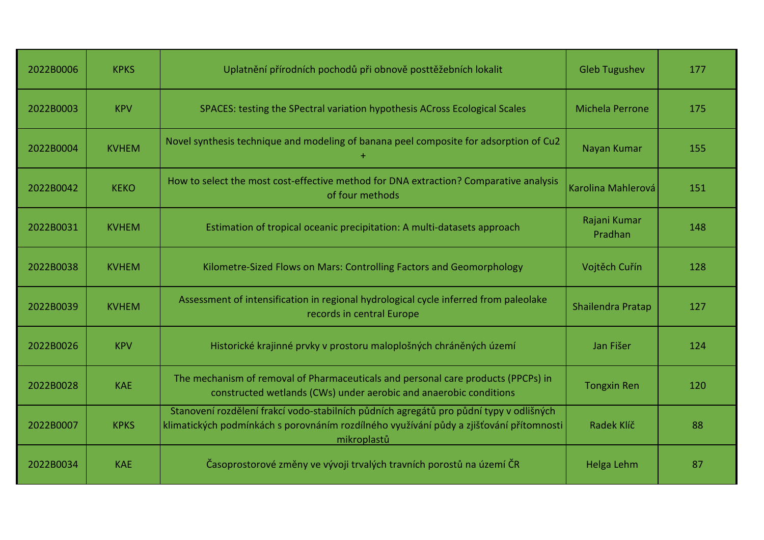| 2022B0006 | <b>KPKS</b>  | Uplatnění přírodních pochodů při obnově posttěžebních lokalit                                                                                                                                    | <b>Gleb Tugushev</b>    | 177 |
|-----------|--------------|--------------------------------------------------------------------------------------------------------------------------------------------------------------------------------------------------|-------------------------|-----|
| 2022B0003 | <b>KPV</b>   | SPACES: testing the SPectral variation hypothesis ACross Ecological Scales                                                                                                                       | <b>Michela Perrone</b>  | 175 |
| 2022B0004 | <b>KVHEM</b> | Novel synthesis technique and modeling of banana peel composite for adsorption of Cu2                                                                                                            | Nayan Kumar             | 155 |
| 2022B0042 | <b>KEKO</b>  | How to select the most cost-effective method for DNA extraction? Comparative analysis<br>of four methods                                                                                         | Karolina Mahlerová      | 151 |
| 2022B0031 | <b>KVHEM</b> | Estimation of tropical oceanic precipitation: A multi-datasets approach                                                                                                                          | Rajani Kumar<br>Pradhan | 148 |
| 2022B0038 | <b>KVHEM</b> | Kilometre-Sized Flows on Mars: Controlling Factors and Geomorphology                                                                                                                             | Vojtěch Cuřín           | 128 |
| 2022B0039 | <b>KVHEM</b> | Assessment of intensification in regional hydrological cycle inferred from paleolake<br>records in central Europe                                                                                | Shailendra Pratap       | 127 |
| 2022B0026 | <b>KPV</b>   | Historické krajinné prvky v prostoru maloplošných chráněných území                                                                                                                               | Jan Fišer               | 124 |
| 2022B0028 | <b>KAE</b>   | The mechanism of removal of Pharmaceuticals and personal care products (PPCPs) in<br>constructed wetlands (CWs) under aerobic and anaerobic conditions                                           | <b>Tongxin Ren</b>      | 120 |
| 2022B0007 | <b>KPKS</b>  | Stanovení rozdělení frakcí vodo-stabilních půdních agregátů pro půdní typy v odlišných<br>klimatických podmínkách s porovnáním rozdílného využívání půdy a zjišťování přítomnosti<br>mikroplastů | Radek Klíč              | 88  |
| 2022B0034 | <b>KAE</b>   | Časoprostorové změny ve vývoji trvalých travních porostů na území ČR                                                                                                                             | Helga Lehm              | 87  |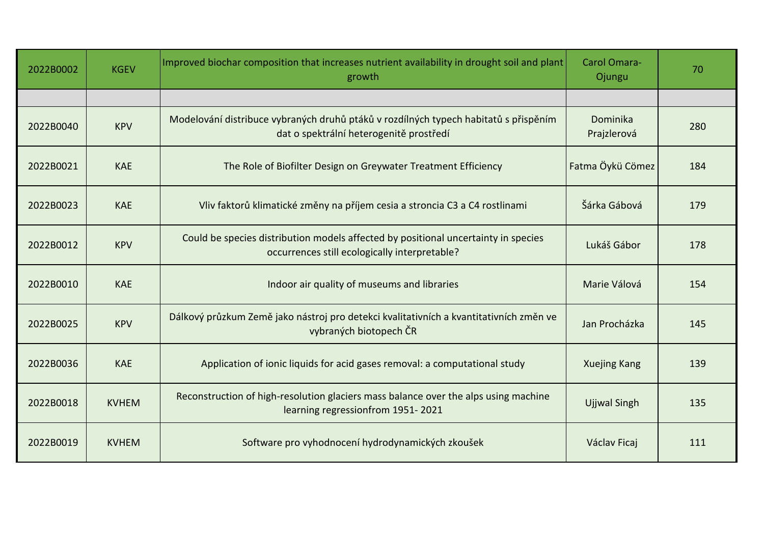| 2022B0002 | <b>KGEV</b>  | Improved biochar composition that increases nutrient availability in drought soil and plant<br>growth                               | Carol Omara-<br>Ojungu  | 70  |
|-----------|--------------|-------------------------------------------------------------------------------------------------------------------------------------|-------------------------|-----|
|           |              |                                                                                                                                     |                         |     |
| 2022B0040 | <b>KPV</b>   | Modelování distribuce vybraných druhů ptáků v rozdílných typech habitatů s přispěním<br>dat o spektrální heterogenitě prostředí     | Dominika<br>Prajzlerová | 280 |
| 2022B0021 | <b>KAE</b>   | The Role of Biofilter Design on Greywater Treatment Efficiency                                                                      | Fatma Öykü Cömez        | 184 |
| 2022B0023 | <b>KAE</b>   | Vliv faktorů klimatické změny na příjem cesia a stroncia C3 a C4 rostlinami                                                         | Šárka Gábová            | 179 |
| 2022B0012 | <b>KPV</b>   | Could be species distribution models affected by positional uncertainty in species<br>occurrences still ecologically interpretable? | Lukáš Gábor             | 178 |
| 2022B0010 | <b>KAE</b>   | Indoor air quality of museums and libraries                                                                                         | Marie Válová            | 154 |
| 2022B0025 | <b>KPV</b>   | Dálkový průzkum Země jako nástroj pro detekci kvalitativních a kvantitativních změn ve<br>vybraných biotopech ČR                    | Jan Procházka           | 145 |
| 2022B0036 | <b>KAE</b>   | Application of ionic liquids for acid gases removal: a computational study                                                          | <b>Xuejing Kang</b>     | 139 |
| 2022B0018 | <b>KVHEM</b> | Reconstruction of high-resolution glaciers mass balance over the alps using machine<br>learning regressionfrom 1951-2021            | <b>Ujjwal Singh</b>     | 135 |
| 2022B0019 | <b>KVHEM</b> | Software pro vyhodnocení hydrodynamických zkoušek                                                                                   | Václav Ficaj            | 111 |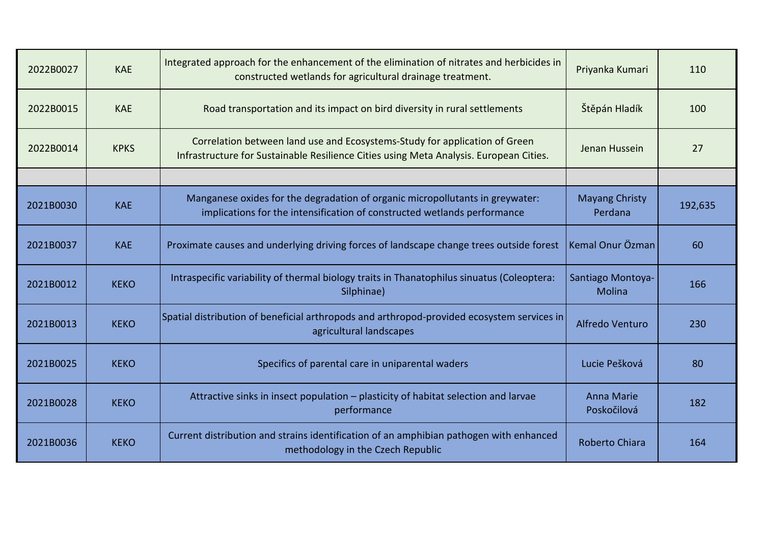| 2022B0027 | <b>KAE</b>  | Integrated approach for the enhancement of the elimination of nitrates and herbicides in<br>constructed wetlands for agricultural drainage treatment.                | Priyanka Kumari                  | 110     |
|-----------|-------------|----------------------------------------------------------------------------------------------------------------------------------------------------------------------|----------------------------------|---------|
| 2022B0015 | <b>KAE</b>  | Road transportation and its impact on bird diversity in rural settlements                                                                                            | Štěpán Hladík                    | 100     |
| 2022B0014 | <b>KPKS</b> | Correlation between land use and Ecosystems-Study for application of Green<br>Infrastructure for Sustainable Resilience Cities using Meta Analysis. European Cities. | Jenan Hussein                    | 27      |
|           |             |                                                                                                                                                                      |                                  |         |
| 2021B0030 | <b>KAE</b>  | Manganese oxides for the degradation of organic micropollutants in greywater:<br>implications for the intensification of constructed wetlands performance            | <b>Mayang Christy</b><br>Perdana | 192,635 |
| 2021B0037 | <b>KAE</b>  | Proximate causes and underlying driving forces of landscape change trees outside forest                                                                              | Kemal Onur Özman                 | 60      |
| 2021B0012 | <b>KEKO</b> | Intraspecific variability of thermal biology traits in Thanatophilus sinuatus (Coleoptera:<br>Silphinae)                                                             | Santiago Montoya-<br>Molina      | 166     |
| 2021B0013 | <b>KEKO</b> | Spatial distribution of beneficial arthropods and arthropod-provided ecosystem services in<br>agricultural landscapes                                                | Alfredo Venturo                  | 230     |
| 2021B0025 | <b>KEKO</b> | Specifics of parental care in uniparental waders                                                                                                                     | Lucie Pešková                    | 80      |
| 2021B0028 | <b>KEKO</b> | Attractive sinks in insect population - plasticity of habitat selection and larvae<br>performance                                                                    | <b>Anna Marie</b><br>Poskočilová | 182     |
| 2021B0036 | <b>KEKO</b> | Current distribution and strains identification of an amphibian pathogen with enhanced<br>methodology in the Czech Republic                                          | Roberto Chiara                   | 164     |